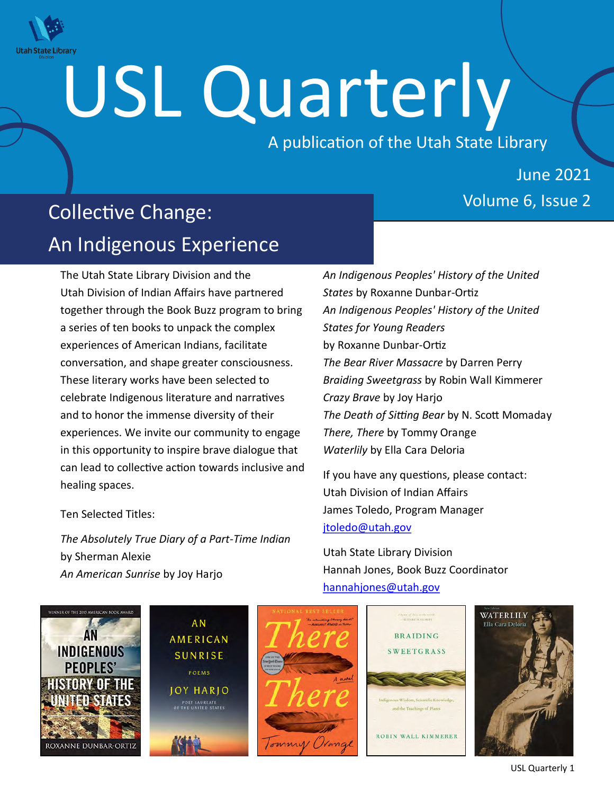

# USL Quarterly

A publication of the Utah State Library

# June 2021

# Volume 6, Issue 2 Collective Change: An Indigenous Experience

The Utah State Library Division and the Utah Division of Indian Affairs have partnered together through the Book Buzz program to bring a series of ten books to unpack the complex experiences of American Indians, facilitate conversation, and shape greater consciousness. These literary works have been selected to celebrate Indigenous literature and narratives and to honor the immense diversity of their experiences. We invite our community to engage in this opportunity to inspire brave dialogue that can lead to collective action towards inclusive and healing spaces.

Ten Selected Titles:

*The Absolutely True Diary of a Part-Time Indian* by Sherman Alexie *An American Sunrise* by Joy Harjo

*An Indigenous Peoples' History of the United States* by Roxanne Dunbar-Ortiz *An Indigenous Peoples' History of the United States for Young Readers* by Roxanne Dunbar-Ortiz *The Bear River Massacre* by Darren Perry *Braiding Sweetgrass* by Robin Wall Kimmerer *Crazy Brave* by Joy Harjo *The Death of Sitting Bear* by N. Scott Momaday *There, There* by Tommy Orange *Waterlily* by Ella Cara Deloria

If you have any questions, please contact: Utah Division of Indian Affairs James Toledo, Program Manager [jtoledo@utah.gov](mailto:jtoledo@utah.gov)

Utah State Library Division Hannah Jones, Book Buzz Coordinator [hannahjones@utah.gov](mailto:hannahjones@utah.gov)



USL Quarterly 1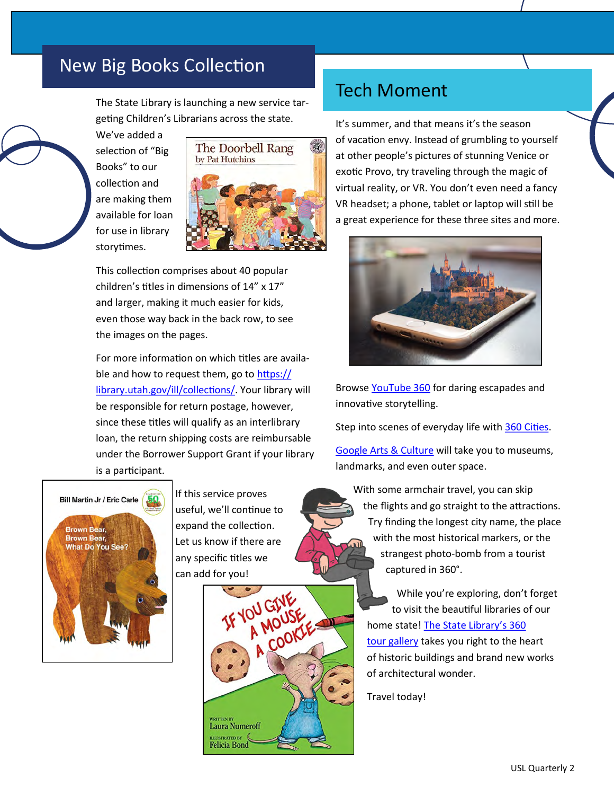# New Big Books Collection

The State Library is launching a new service targeting Children's Librarians across the state.

We've added a selection of "Big Books" to our collection and are making them available for loan for use in library storytimes.



This collection comprises about 40 popular children's titles in dimensions of 14" x 17" and larger, making it much easier for kids, even those way back in the back row, to see the images on the pages.

For more information on which titles are available and how to request them, go to [https://](https://library.utah.gov/ill/collections/) [library.utah.gov/ill/collections/.](https://library.utah.gov/ill/collections/) Your library will be responsible for return postage, however, since these titles will qualify as an interlibrary loan, the return shipping costs are reimbursable under the Borrower Support Grant if your library is a participant.



If this service proves useful, we'll continue to expand the collection. Let us know if there are any specific titles we can add for you!



### Tech Moment

It's summer, and that means it's the season of vacation envy. Instead of grumbling to yourself at other people's pictures of stunning Venice or exotic Provo, try traveling through the magic of virtual reality, or VR. You don't even need a fancy VR headset; a phone, tablet or laptop will still be a great experience for these three sites and more.



Browse [YouTube 360 f](https://www.youtube.com/360)or daring escapades and innovative storytelling.

Step into scenes of everyday life with [360 Cities.](https://www.360cities.net/map)

[Google Arts & Culture](https://artsandculture.google.com/project/360-videos) will take you to museums, landmarks, and even outer space.

 With some armchair travel, you can skip the flights and go straight to the attractions. Try finding the longest city name, the place with the most historical markers, or the strangest photo-bomb from a tourist captured in 360°.

 While you're exploring, don't forget to visit the beautiful libraries of our home state! [The State Library's 360](https://library.utah.gov/covid-19-resources/resources-for-public/virtual-tours/)   [tour gallery t](https://library.utah.gov/covid-19-resources/resources-for-public/virtual-tours/)akes you right to the heart of historic buildings and brand new works of architectural wonder.

Travel today!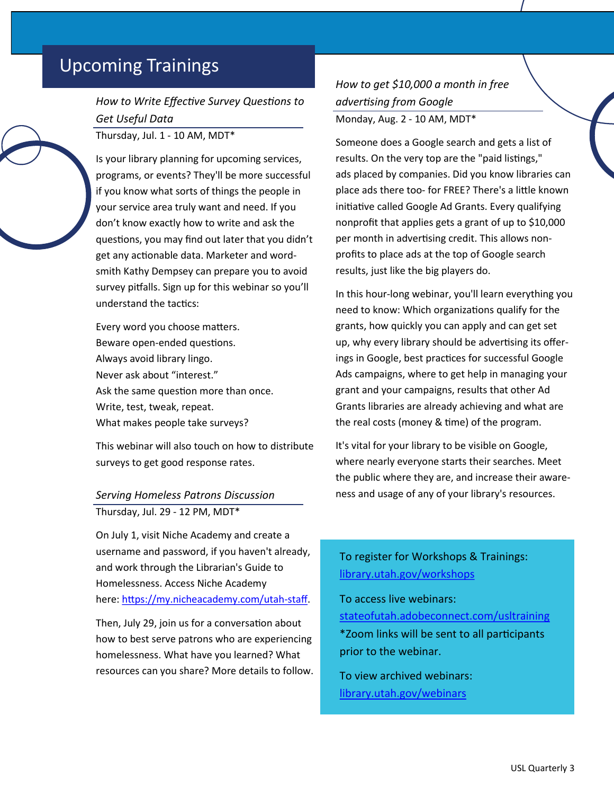# Upcoming Trainings

*How to Write Effective Survey Questions to Get Useful Data*

Thursday, Jul. 1 - 10 AM, MDT\*

Is your library planning for upcoming services, programs, or events? They'll be more successful if you know what sorts of things the people in your service area truly want and need. If you don't know exactly how to write and ask the questions, you may find out later that you didn't get any actionable data. Marketer and wordsmith Kathy Dempsey can prepare you to avoid survey pitfalls. Sign up for this webinar so you'll understand the tactics:

Every word you choose matters. Beware open-ended questions. Always avoid library lingo. Never ask about "interest." Ask the same question more than once. Write, test, tweak, repeat. What makes people take surveys?

This webinar will also touch on how to distribute surveys to get good response rates.

#### *Serving Homeless Patrons Discussion* Thursday, Jul. 29 - 12 PM, MDT\*

On July 1, visit Niche Academy and create a username and password, if you haven't already, and work through the Librarian's Guide to Homelessness. Access Niche Academy here: [https://my.nicheacademy.com/utah](https://my.nicheacademy.com/utah-staff)-staff.

Then, July 29, join us for a conversation about how to best serve patrons who are experiencing homelessness. What have you learned? What resources can you share? More details to follow. *How to get \$10,000 a month in free advertising from Google* Monday, Aug. 2 - 10 AM, MDT\*

Someone does a Google search and gets a list of results. On the very top are the "paid listings," ads placed by companies. Did you know libraries can place ads there too- for FREE? There's a little known initiative called Google Ad Grants. Every qualifying nonprofit that applies gets a grant of up to \$10,000 per month in advertising credit. This allows nonprofits to place ads at the top of Google search results, just like the big players do.

In this hour-long webinar, you'll learn everything you need to know: Which organizations qualify for the grants, how quickly you can apply and can get set up, why every library should be advertising its offerings in Google, best practices for successful Google Ads campaigns, where to get help in managing your grant and your campaigns, results that other Ad Grants libraries are already achieving and what are the real costs (money & time) of the program.

It's vital for your library to be visible on Google, where nearly everyone starts their searches. Meet the public where they are, and increase their awareness and usage of any of your library's resources.

#### To register for Workshops & Trainings: [library.utah.gov/workshops](https://heritage.utah.gov/library/workshops)

To access live webinars: [stateofutah.adobeconnect.com/usltraining](http://stateofutah.adobeconnect.com/usltraining/) \*Zoom links will be sent to all participants prior to the webinar.

To view archived webinars: [library.utah.gov/webinars](https://heritage.utah.gov/library/webinars)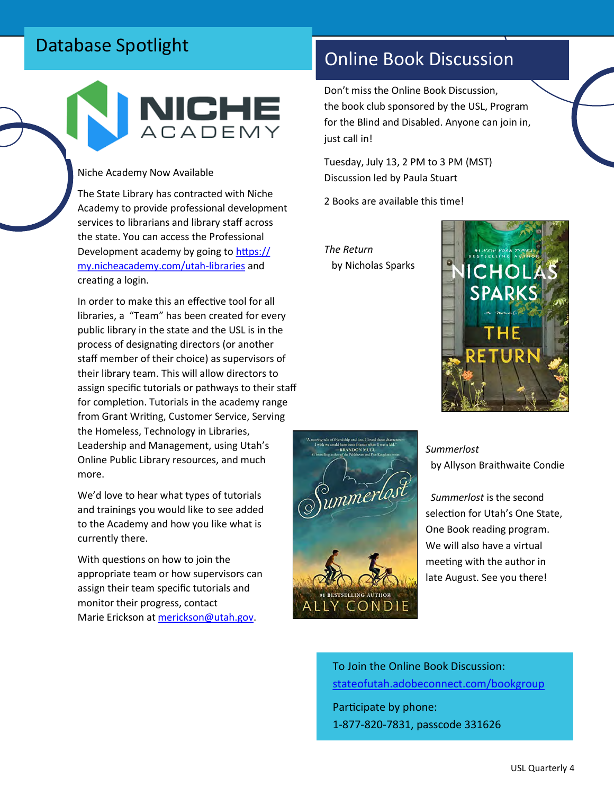# Database Spotlight



#### Niche Academy Now Available

The State Library has contracted with Niche Academy to provide professional development services to librarians and library staff across the state. You can access the Professional Development academy by going to [https://](https://my.nicheacademy.com/utah-libraries) [my.nicheacademy.com/utah](https://my.nicheacademy.com/utah-libraries)-libraries and creating a login.

In order to make this an effective tool for all libraries, a "Team" has been created for every public library in the state and the USL is in the process of designating directors (or another staff member of their choice) as supervisors of their library team. This will allow directors to assign specific tutorials or pathways to their staff for completion. Tutorials in the academy range from Grant Writing, Customer Service, Serving the Homeless, Technology in Libraries, Leadership and Management, using Utah's Online Public Library resources, and much more.

We'd love to hear what types of tutorials and trainings you would like to see added to the Academy and how you like what is currently there.

With questions on how to join the appropriate team or how supervisors can assign their team specific tutorials and monitor their progress, contact Marie Erickson at [merickson@utah.gov.](mailto:merickson@utah.gov)

# Online Book Discussion

Don't miss the Online Book Discussion, the book club sponsored by the USL, Program for the Blind and Disabled. Anyone can join in, just call in!

Tuesday, July 13, 2 PM to 3 PM (MST) Discussion led by Paula Stuart

2 Books are available this time!

*The Return* by Nicholas Sparks





 *Summerlost* by Allyson Braithwaite Condie

 *Summerlost* is the second selection for Utah's One State, One Book reading program. We will also have a virtual meeting with the author in late August. See you there!

To Join the Online Book Discussion: [stateofutah.adobeconnect.com/bookgroup](https://stateofutah.adobeconnect.com/bookgroup) Participate by phone:

1-877-820-7831, passcode 331626